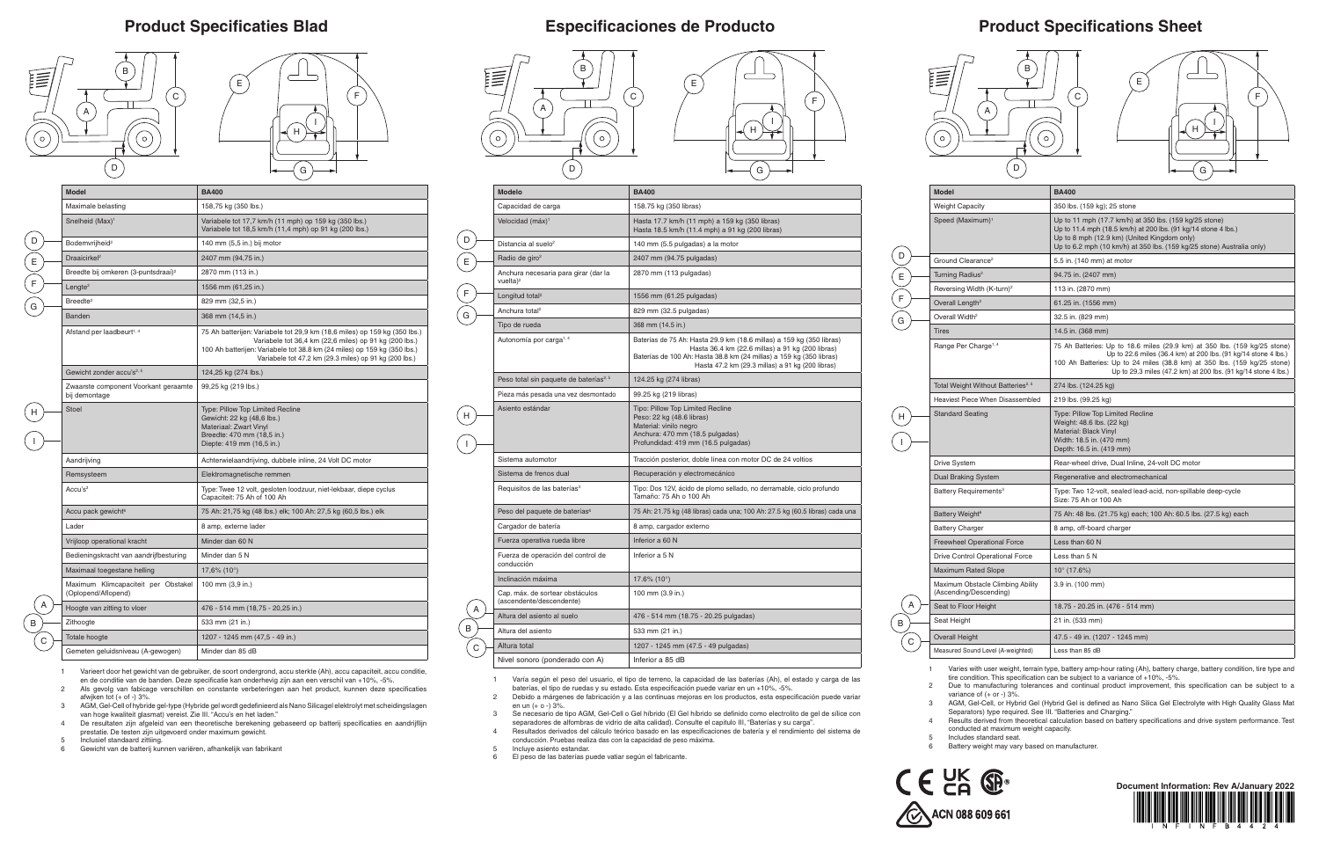## **Product Specifications Sheet**



E  $F$ 

 $\left( G \right)$ 

 $(\mathsf{H})$ 

 $\mathbf{I}$ 

| <b>Model</b>                                                | <b>BA400</b>                                                                                                                                                                                                                                                                              |
|-------------------------------------------------------------|-------------------------------------------------------------------------------------------------------------------------------------------------------------------------------------------------------------------------------------------------------------------------------------------|
| <b>Weight Capacity</b>                                      | 350 lbs. (159 kg); 25 stone                                                                                                                                                                                                                                                               |
| Speed (Maximum) <sup>1</sup>                                | Up to 11 mph (17.7 km/h) at 350 lbs. (159 kg/25 stone)<br>Up to 11.4 mph (18.5 km/h) at 200 lbs. (91 kg/14 stone 4 lbs.)<br>Up to 8 mph (12.9 km) (United Kingdom only)<br>Up to 6.2 mph (10 km/h) at 350 lbs. (159 kg/25 stone) Australia only)                                          |
| Ground Clearance <sup>2</sup>                               | 5.5 in. (140 mm) at motor                                                                                                                                                                                                                                                                 |
| Turning Radius <sup>2</sup>                                 | 94.75 in. (2407 mm)                                                                                                                                                                                                                                                                       |
| Reversing Width (K-turn) <sup>2</sup>                       | 113 in. (2870 mm)                                                                                                                                                                                                                                                                         |
| Overall Length <sup>2</sup>                                 | 61.25 in. (1556 mm)                                                                                                                                                                                                                                                                       |
| Overall Width <sup>2</sup>                                  | 32.5 in. (829 mm)                                                                                                                                                                                                                                                                         |
| <b>Tires</b>                                                | 14.5 in. (368 mm)                                                                                                                                                                                                                                                                         |
| Range Per Charge <sup>1, 4</sup>                            | 75 Ah Batteries: Up to 18.6 miles (29.9 km) at 350 lbs. (159 kg/25 stone)<br>Up to 22.6 miles (36.4 km) at 200 lbs. (91 kg/14 stone 4 lbs.)<br>100 Ah Batteries: Up to 24 miles (38.8 km) at 350 lbs. (159 kg/25 stone)<br>Up to 29.3 miles (47.2 km) at 200 lbs. (91 kg/14 stone 4 lbs.) |
| Total Weight Without Batteries <sup>2, 5</sup>              | 274 lbs. (124.25 kg)                                                                                                                                                                                                                                                                      |
| Heaviest Piece When Disassembled                            | 219 lbs. (99.25 kg)                                                                                                                                                                                                                                                                       |
| <b>Standard Seating</b>                                     | <b>Type: Pillow Top Limited Recline</b><br>Weight: 48.6 lbs. (22 kg)<br>Material: Black Vinyl<br>Width: 18.5 in. (470 mm)<br>Depth: 16.5 in. (419 mm)                                                                                                                                     |
| <b>Drive System</b>                                         | Rear-wheel drive, Dual Inline, 24-volt DC motor                                                                                                                                                                                                                                           |
| <b>Dual Braking System</b>                                  | Regenerative and electromechanical                                                                                                                                                                                                                                                        |
| Battery Requirements <sup>3</sup>                           | Type: Two 12-volt, sealed lead-acid, non-spillable deep-cycle<br>Size: 75 Ah or 100 Ah                                                                                                                                                                                                    |
| Battery Weight <sup>6</sup>                                 | 75 Ah: 48 lbs. (21.75 kg) each; 100 Ah: 60.5 lbs. (27.5 kg) each                                                                                                                                                                                                                          |
| <b>Battery Charger</b>                                      | 8 amp, off-board charger                                                                                                                                                                                                                                                                  |
| <b>Freewheel Operational Force</b>                          | Less than 60 N                                                                                                                                                                                                                                                                            |
| Drive Control Operational Force                             | Less than 5 N                                                                                                                                                                                                                                                                             |
| <b>Maximum Rated Slope</b>                                  | $10^{\circ}$ (17.6%)                                                                                                                                                                                                                                                                      |
| Maximum Obstacle Climbing Ability<br>(Ascending/Descending) | 3.9 in. (100 mm)                                                                                                                                                                                                                                                                          |
| Seat to Floor Height                                        | 18.75 - 20.25 in. (476 - 514 mm)                                                                                                                                                                                                                                                          |
| Seat Height                                                 | 21 in. (533 mm)                                                                                                                                                                                                                                                                           |
| <b>Overall Height</b>                                       | 47.5 - 49 in. (1207 - 1245 mm)                                                                                                                                                                                                                                                            |
| Measured Sound Level (A-weighted)                           | Less than $85$ dB                                                                                                                                                                                                                                                                         |

A B

 $\overline{C}$ 

D

### **Product Specificaties Blad Especificaciones de Producto**

1 Varies with user weight, terrain type, battery amp-hour rating (Ah), battery charge, battery condition, tire type and tire condition. This specification can be subject to a variance of +10%, -5%.

2 Due to manufacturing tolerances and continual product improvement, this specification can be subject to a variance of (+ or -) 3%. 3 AGM, Gel-Cell, or Hybrid Gel (Hybrid Gel is defined as Nano Silica Gel Electrolyte with High Quality Glass Mat

Separators) type required. See III. "Batteries and Charging."

4 Results derived from theoretical calculation based on battery specifications and drive system performance. Test conducted at maximum weight capacity.

5 Includes standard seat.

6 Battery weight may vary based on manufacturer.





|   | <b>Modelo</b>                                               | <b>BA400</b>                                                                                                                                                                                                                                        |
|---|-------------------------------------------------------------|-----------------------------------------------------------------------------------------------------------------------------------------------------------------------------------------------------------------------------------------------------|
|   | Capacidad de carga                                          | 158.75 kg (350 libras)                                                                                                                                                                                                                              |
|   | Velocidad (máx) <sup>1</sup>                                | Hasta 17.7 km/h (11 mph) a 159 kg (350 libras)<br>Hasta 18.5 km/h (11.4 mph) a 91 kg (200 libras)                                                                                                                                                   |
|   | Distancia al suelo <sup>2</sup>                             | 140 mm (5.5 pulgadas) a la motor                                                                                                                                                                                                                    |
|   | Radio de giro <sup>2</sup>                                  | 2407 mm (94.75 pulgadas)                                                                                                                                                                                                                            |
|   | Anchura necesaria para girar (dar la<br>vuelta $)^2$        | 2870 mm (113 pulgadas)                                                                                                                                                                                                                              |
|   | Longitud total <sup>2</sup>                                 | 1556 mm (61.25 pulgadas)                                                                                                                                                                                                                            |
|   | Anchura total <sup>2</sup>                                  | 829 mm (32.5 pulgadas)                                                                                                                                                                                                                              |
|   | Tipo de rueda                                               | 368 mm (14.5 in.)                                                                                                                                                                                                                                   |
|   | Autonomía por carga <sup>1,4</sup>                          | Baterías de 75 Ah: Hasta 29.9 km (18.6 millas) a 159 kg (350 libras)<br>Hasta 36.4 km (22.6 millas) a 91 kg (200 libras)<br>Baterías de 100 Ah: Hasta 38.8 km (24 millas) a 159 kg (350 libras)<br>Hasta 47.2 km (29.3 millas) a 91 kg (200 libras) |
|   | Peso total sin paquete de baterías <sup>2, 5</sup>          | 124.25 kg (274 libras)                                                                                                                                                                                                                              |
|   | Pieza más pesada una vez desmontado                         | 99.25 kg (219 libras)                                                                                                                                                                                                                               |
|   | Asiento estándar                                            | Tipo: Pillow Top Limited Recline<br>Peso: 22 kg (48.6 libras)<br>Material: vinilo negro<br>Anchura: 470 mm (18.5 pulgadas)<br>Profundidad: 419 mm (16.5 pulgadas)                                                                                   |
|   | Sistema automotor                                           | Tracción posterior, doble línea con motor DC de 24 voltios                                                                                                                                                                                          |
|   | Sistema de frenos dual                                      | Recuperación y electromecánico                                                                                                                                                                                                                      |
|   | Requisitos de las baterías <sup>3</sup>                     | Tipo: Dos 12V, ácido de plomo sellado, no derramable, ciclo profundo<br>Tamaño: 75 Ah o 100 Ah                                                                                                                                                      |
|   | Peso del paquete de baterías <sup>6</sup>                   | 75 Ah: 21.75 kg (48 libras) cada una; 100 Ah: 27.5 kg (60.5 libras) cada una                                                                                                                                                                        |
|   | Cargador de batería                                         | 8 amp, cargador externo                                                                                                                                                                                                                             |
|   | Fuerza operativa rueda libre                                | Inferior a 60 N                                                                                                                                                                                                                                     |
|   | Fuerza de operación del control de<br>conducción            | Inferior a 5 N                                                                                                                                                                                                                                      |
|   | Inclinación máxima                                          | 17.6% $(10^{\circ})$                                                                                                                                                                                                                                |
|   | Cap. máx. de sortear obstáculos<br>(ascendente/descendente) | 100 mm (3.9 in.)                                                                                                                                                                                                                                    |
|   | Altura del asiento al suelo                                 | 476 - 514 mm (18.75 - 20.25 pulgadas)                                                                                                                                                                                                               |
|   | Altura del asiento                                          | 533 mm (21 in.)                                                                                                                                                                                                                                     |
| С | Altura total                                                | 1207 - 1245 mm (47.5 - 49 pulgadas)                                                                                                                                                                                                                 |
|   | Nivel sonoro (ponderado con A)                              | Inferior a 85 dB                                                                                                                                                                                                                                    |
|   |                                                             |                                                                                                                                                                                                                                                     |

El peso de las baterías puede vatiar según el fabricante.

1 Varía según el peso del usuario, el tipo de terreno, la capacidad de las baterías (Ah), el estado y carga de las baterías, el tipo de ruedas y su estado. Esta especificación puede variar en un +10%, -5%.

2 Debido a márgenes de fabricación y a las continuas mejoras en los productos, esta especificación puede variar en un (+ o -) 3%.

3 Se necesario de tipo AGM, Gel-Cell o Gel híbrido (El Gel híbrido se definido como electrolito de gel de sílice con separadores de alfombras de vidrio de alta calidad). Consulte el capitulo III, "Baterías y su carga".

4 Resultados derivados del cálculo teórico basado en las especificaciones de batería y el rendimiento del sistema de conducción. Pruebas realiza das con la capacidad de peso máxima.

5 Incluye asiento estandar.<br>6 El peso de las baterías po

| <b>Model</b>                                               | <b>BA400</b>                                                                                                                                                                                                                                                              |
|------------------------------------------------------------|---------------------------------------------------------------------------------------------------------------------------------------------------------------------------------------------------------------------------------------------------------------------------|
| Maximale belasting                                         | 158,75 kg (350 lbs.)                                                                                                                                                                                                                                                      |
| Snelheid (Max) <sup>1</sup>                                | Variabele tot 17,7 km/h (11 mph) op 159 kg (350 lbs.)<br>Variabele tot 18,5 km/h (11,4 mph) op 91 kg (200 lbs.)                                                                                                                                                           |
| Bodemvrijheid <sup>2</sup>                                 | 140 mm (5,5 in.) bij motor                                                                                                                                                                                                                                                |
| Draaicirkel <sup>2</sup>                                   | 2407 mm (94,75 in.)                                                                                                                                                                                                                                                       |
| Breedte bij omkeren (3-puntsdraai) <sup>2</sup>            | 2870 mm (113 in.)                                                                                                                                                                                                                                                         |
| Lengte <sup>2</sup>                                        | 1556 mm (61,25 in.)                                                                                                                                                                                                                                                       |
| Breedte <sup>2</sup>                                       | 829 mm (32,5 in.)                                                                                                                                                                                                                                                         |
| <b>Banden</b>                                              | 368 mm (14,5 in.)                                                                                                                                                                                                                                                         |
| Afstand per laadbeurt <sup>1, 4</sup>                      | 75 Ah batterijen: Variabele tot 29,9 km (18,6 miles) op 159 kg (350 lbs.)<br>Variabele tot 36,4 km (22,6 miles) op 91 kg (200 lbs.)<br>100 Ah batterijen: Variabele tot 38.8 km (24 miles) op 159 kg (350 lbs.)<br>Variabele tot 47.2 km (29.3 miles) op 91 kg (200 lbs.) |
| Gewicht zonder accu's <sup>2, 5</sup>                      | 124,25 kg (274 lbs.)                                                                                                                                                                                                                                                      |
| Zwaarste component Voorkant geraamte<br>bij demontage      | 99,25 kg (219 lbs.)                                                                                                                                                                                                                                                       |
| <b>Stoel</b>                                               | Type: Pillow Top Limited Recline<br>Gewicht: 22 kg (48,6 lbs.)<br>Materiaal: Zwart Vinyl<br>Breedte: 470 mm (18,5 in.)<br>Diepte: 419 mm (16,5 in.)                                                                                                                       |
| Aandrijving                                                | Achterwielaandrijving, dubbele inline, 24 Volt DC motor                                                                                                                                                                                                                   |
| Remsysteem                                                 | Elektromagnetische remmen                                                                                                                                                                                                                                                 |
| Accu's $3$                                                 | Type: Twee 12 volt, gesloten loodzuur, niet-lekbaar, diepe cyclus<br>Capaciteit: 75 Ah of 100 Ah                                                                                                                                                                          |
| Accu pack gewicht <sup>6</sup>                             | 75 Ah: 21,75 kg (48 lbs.) elk; 100 Ah: 27,5 kg (60,5 lbs.) elk                                                                                                                                                                                                            |
| Lader                                                      | 8 amp, externe lader                                                                                                                                                                                                                                                      |
| Vrijloop operational kracht                                | Minder dan 60 N                                                                                                                                                                                                                                                           |
| Bedieningskracht van aandrijfbesturing                     | Minder dan 5 N                                                                                                                                                                                                                                                            |
| Maximaal toegestane helling                                | $17,6\%$ (10 $^{\circ}$ )                                                                                                                                                                                                                                                 |
| Maximum Klimcapaciteit per Obstakel<br>(Oplopend/Aflopend) | 100 mm (3,9 in.)                                                                                                                                                                                                                                                          |
| Hoogte van zitting to vloer                                | 476 - 514 mm (18,75 - 20,25 in.)                                                                                                                                                                                                                                          |
| Zithoogte                                                  | 533 mm (21 in.)                                                                                                                                                                                                                                                           |
| Totale hoogte                                              | 1207 - 1245 mm (47,5 - 49 in.)                                                                                                                                                                                                                                            |
| Gemeten geluidsniveau (A-gewogen)                          | Minder dan 85 dB                                                                                                                                                                                                                                                          |

1 Varieert door het gewicht van de gebruiker, de soort ondergrond, accu sterkte (Ah), accu capaciteit, accu conditie, en de conditie van de banden. Deze specificatie kan onderhevig zijn aan een verschil van +10%, -5%.

- 2 Als gevolg van fabicage verschillen en constante verbeteringen aan het product, kunnen deze specificaties afwiken tot  $(+$  of  $-$ ) 3%.
- 3 AGM, Gel-Cell of hybride gel-type (Hybride gel wordt gedefinieerd als Nano Silicagel elektrolyt met scheidingslagen van hoge kwaliteit glasmat) vereist. Zie III. "Accu's en het laden." 4 De resultaten zijn afgeleid van een theoretische berekening gebaseerd op batterij specificaties en aandrijflijn
- prestatie. De testen zijn uitgevoerd onder maximum gewicht. 5 Inclusief standaard zittiing.
- 6 Gewicht van de batterij kunnen variëren, afhankelijk van fabrikant











E